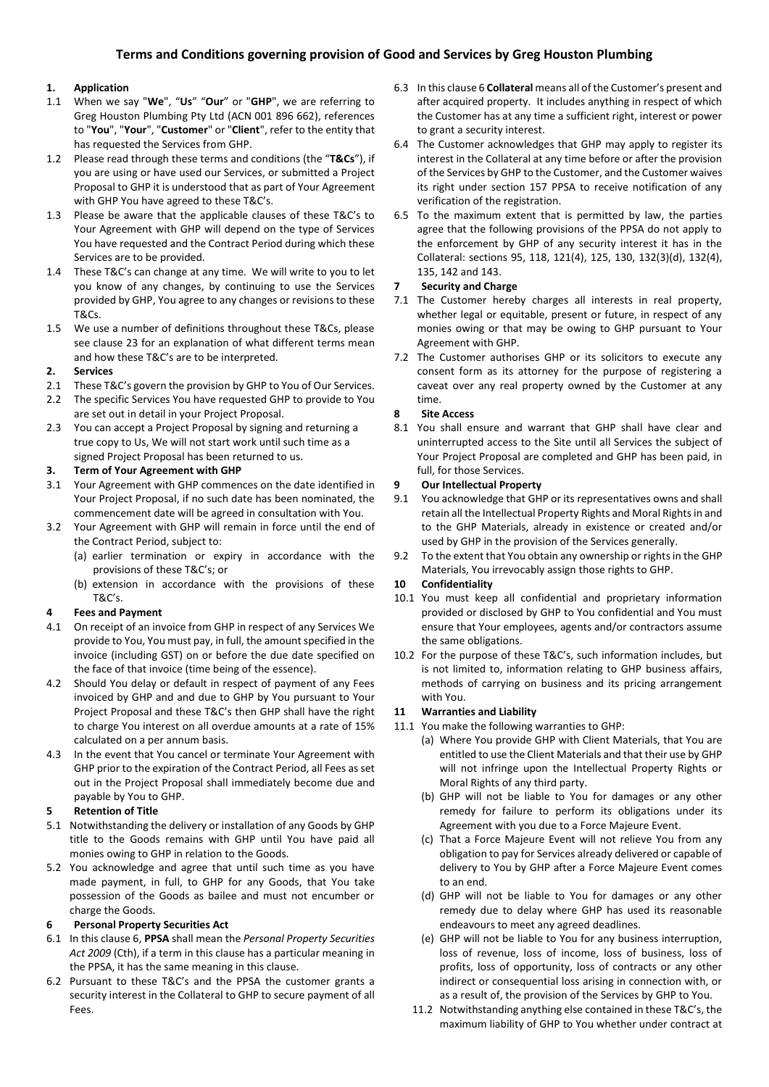## **1. Application**

- 1.1 When we say "**We**", "**Us**" "**Our**" or "**GHP**", we are referring to Greg Houston Plumbing Pty Ltd (ACN 001 896 662), references to "**You**", "**Your**", "**Customer**" or "**Client**", refer to the entity that has requested the Services from GHP.
- 1.2 Please read through these terms and conditions (the "**T&Cs**"), if you are using or have used our Services, or submitted a Project Proposal to GHP it is understood that as part of Your Agreement with GHP You have agreed to these T&C's.
- 1.3 Please be aware that the applicable clauses of these T&C's to Your Agreement with GHP will depend on the type of Services You have requested and the Contract Period during which these Services are to be provided.
- 1.4 These T&C's can change at any time. We will write to you to let you know of any changes, by continuing to use the Services provided by GHP, You agree to any changes or revisions to these T&Cs.
- 1.5 We use a number of definitions throughout these T&Cs, please see clause 23 for an explanation of what different terms mean and how these T&C's are to be interpreted.

### **2. Services**

- 2.1 These T&C's govern the provision by GHP to You of Our Services.
- 2.2 The specific Services You have requested GHP to provide to You are set out in detail in your Project Proposal.
- 2.3 You can accept a Project Proposal by signing and returning a true copy to Us, We will not start work until such time as a signed Project Proposal has been returned to us.

## **3. Term of Your Agreement with GHP**

- 3.1 Your Agreement with GHP commences on the date identified in Your Project Proposal, if no such date has been nominated, the commencement date will be agreed in consultation with You.
- 3.2 Your Agreement with GHP will remain in force until the end of the Contract Period, subject to:
	- (a) earlier termination or expiry in accordance with the provisions of these T&C's; or
	- (b) extension in accordance with the provisions of these T&C's.

### **4 Fees and Payment**

- 4.1 On receipt of an invoice from GHP in respect of any Services We provide to You, You must pay, in full, the amount specified in the invoice (including GST) on or before the due date specified on the face of that invoice (time being of the essence).
- 4.2 Should You delay or default in respect of payment of any Fees invoiced by GHP and and due to GHP by You pursuant to Your Project Proposal and these T&C's then GHP shall have the right to charge You interest on all overdue amounts at a rate of 15% calculated on a per annum basis.
- 4.3 In the event that You cancel or terminate Your Agreement with GHP prior to the expiration of the Contract Period, all Fees as set out in the Project Proposal shall immediately become due and payable by You to GHP.

## **5 Retention of Title**

- 5.1 Notwithstanding the delivery or installation of any Goods by GHP title to the Goods remains with GHP until You have paid all monies owing to GHP in relation to the Goods.
- 5.2 You acknowledge and agree that until such time as you have made payment, in full, to GHP for any Goods, that You take possession of the Goods as bailee and must not encumber or charge the Goods.

### **6 Personal Property Securities Act**

- 6.1 In this clause 6, **PPSA** shall mean the *Personal Property Securities Act 2009* (Cth), if a term in this clause has a particular meaning in the PPSA, it has the same meaning in this clause.
- 6.2 Pursuant to these T&C's and the PPSA the customer grants a security interest in the Collateral to GHP to secure payment of all Fees.
- 6.3 In this clause 6 **Collateral** means all of the Customer's present and after acquired property. It includes anything in respect of which the Customer has at any time a sufficient right, interest or power to grant a security interest.
- 6.4 The Customer acknowledges that GHP may apply to register its interest in the Collateral at any time before or after the provision of the Services by GHP to the Customer, and the Customer waives its right under section 157 PPSA to receive notification of any verification of the registration.
- 6.5 To the maximum extent that is permitted by law, the parties agree that the following provisions of the PPSA do not apply to the enforcement by GHP of any security interest it has in the Collateral: sections 95, 118, 121(4), 125, 130, 132(3)(d), 132(4), 135, 142 and 143.

## **7 Security and Charge**

- 7.1 The Customer hereby charges all interests in real property, whether legal or equitable, present or future, in respect of any monies owing or that may be owing to GHP pursuant to Your Agreement with GHP.
- 7.2 The Customer authorises GHP or its solicitors to execute any consent form as its attorney for the purpose of registering a caveat over any real property owned by the Customer at any time.

## **8 Site Access**

8.1 You shall ensure and warrant that GHP shall have clear and uninterrupted access to the Site until all Services the subject of Your Project Proposal are completed and GHP has been paid, in full, for those Services.

## **9 Our Intellectual Property**

- 9.1 You acknowledge that GHP or its representatives owns and shall retain all the Intellectual Property Rights and Moral Rights in and to the GHP Materials, already in existence or created and/or used by GHP in the provision of the Services generally.
- 9.2 To the extent that You obtain any ownership or rights in the GHP Materials, You irrevocably assign those rights to GHP.

## **10 Confidentiality**

- 10.1 You must keep all confidential and proprietary information provided or disclosed by GHP to You confidential and You must ensure that Your employees, agents and/or contractors assume the same obligations.
- 10.2 For the purpose of these T&C's, such information includes, but is not limited to, information relating to GHP business affairs, methods of carrying on business and its pricing arrangement with You.

## **11 Warranties and Liability**

- 11.1 You make the following warranties to GHP:
	- (a) Where You provide GHP with Client Materials, that You are entitled to use the Client Materials and that their use by GHP will not infringe upon the Intellectual Property Rights or Moral Rights of any third party.
	- (b) GHP will not be liable to You for damages or any other remedy for failure to perform its obligations under its Agreement with you due to a Force Majeure Event.
	- (c) That a Force Majeure Event will not relieve You from any obligation to pay for Services already delivered or capable of delivery to You by GHP after a Force Majeure Event comes to an end.
	- (d) GHP will not be liable to You for damages or any other remedy due to delay where GHP has used its reasonable endeavours to meet any agreed deadlines.
	- (e) GHP will not be liable to You for any business interruption, loss of revenue, loss of income, loss of business, loss of profits, loss of opportunity, loss of contracts or any other indirect or consequential loss arising in connection with, or as a result of, the provision of the Services by GHP to You.
	- 11.2 Notwithstanding anything else contained in these T&C's, the maximum liability of GHP to You whether under contract at